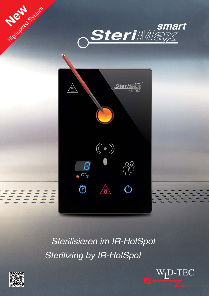



Sterilisieren im IR-HotSpot **Sterilizing by IR-HotSpot** 



**Nighspeed System** 

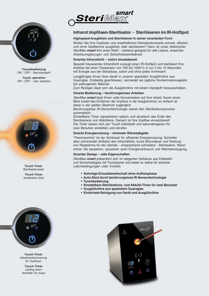

**Touchbedienung** ON / OFF - Benutzerwahl

**Touch operation** ON / OFF - user selection



**Touch-Timer Sterilisationszeit Touch-Timer**

sterilization time



**Touch-Timer** Abkühlzeiterinnerung für Impfösen

**Touch-Timer** cooling down reminder for loops



# **Infrarot Impfösen-Sterilisator - Sterilisieren im IR-HotSpot**

# **Highspeed-Ausglühen und Sterilisieren in seiner smartesten Form**

Wollen Sie Ihre Impfösen und empfindlichen Kleinstinstrumente schnell, effizient und ohne Gasflamme ausglühen oder sterilisieren? Dann ist unser elektrischer SteriMax **smart** Ihre erste Wahl – bestens geeignet für alle Labore, anaerobe Arbeitsumgebungen und Sicherheitswerkbänke!

## **Smartes Infrarotlicht – sofort einsatzbereit**

Speziell fokussiertes Infrarotlicht erzeugt einen IR-HotSpot und sterilisiert Ihre Impföse bei einer Temperatur von 750 bis 1000°C in nur 5 bis 10 Sekunden mit Energie aus der Steckdose, sofort und ohne jedes Vorheizen!

Langjähriges Know How steckt in unserer speziellen Ausglühröhre aus Quarzglas. Endseitig geschlossen, vermeidet sie jegliche Kontaminationsgefahr bei pathogenem Material.

Zum Reinigen lässt sich die Ausglühröhre mit einem Handgriff herausschieben.

## **Smarte Bedienung – berührungsloses Arbeiten**

SteriMax **smart** lässt Ihnen volle Konzentration auf Ihre Arbeit: Kaum einen Blick kostet das Einführen der Impföse in die Ausglühröhre; so einfach ist diese in der glatten Glasfront zugänglich.

Berührungslose IR-Sensortechnologie startet den Sterilisationsprozess automatisch.

Einstellbare Timer signalisieren optisch und akustisch das Ende des Sterilisierens und Abkühlens. Danach ist Ihre Impföse einsatzbereit! Die Timer lassen sich per Touch individuell und sekundengenau für zwei Benutzer einstellen und abrufen.

### **Smarte Energienutzung – minimale Wärmeabgabe**

'Thermocontrol' ist der Schlüssel für effiziente Energienutzung: Schneller aber schonender Softstart des Infrarotlichts, kurze Brenndauer und Nutzung von Restwärme für die nächste - entsprechend schnellere - Sterilisation. Wann immer Sie pausieren, pausieren auch Energieverbrauch und Wärmeerzeugung.

#### **Smartes Design – edle Eigenschaften**

SteriMax **smart** präsentiert sich im eleganten Gehäuse aus Edelstahl und Sicherheitsglas mit Touchpanel und bietet so selbst für extreme Laborbedingungen viele Vorteile:

- **Sofortige Einsatzbereitschaft ohne Aufheizphase**
- **Auto-Start durch berührungslose IR-Sensortechnologie**
- **Touchbedienung**
- **Einstellbare Sterilisations- und Abkühl-Timer für zwei Benutzer**
- **Ausglühröhre aus speziellem Quarzglas**
- **Einfachste Reinigung von Gerät und Ausglühröhre**

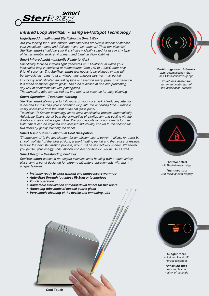

# **Infrared Loop Sterilizer - using IR-HotSpot Technology**

### **High-Speed Annealing and Sterilizing the Smart Way**

Are you looking for a fast, efficient and flameless product to anneal or sterilize your inoculation loops and delicate micro instruments? Then our electrical SteriMax **smart** should be your first choice – ideally suited for use in any type of lab, anaerobic work environment and Laminar Flow Cabinet.

### **Smart Infrared Light – Instantly Ready to Work**

Specifically focused infrared light generates an IR-HotSpot in which your inoculation loop is sterilized at temperatures from 750 to 1000°C after only 5 to 10 seconds. The SteriMax **smart** just needs to be plugged in and will be immediately ready to use, without any unnecessary warm-up period.

Our highly sophisticated annealing tube is based on many years of experience. It is made of special quartz glass. The tube is closed at one end preventing any risk of contamination with pathogenes.

The annealing tube can be slid out in a matter of seconds for easy cleaning.

# **Smart Operation – Touchless Working**

SteriMax **smart** allows you to fully focus on your core task. Hardly any attention is needed for inserting your inoculation loop into the annealing tube – which is easily accessible from the front of the flat glass panel.

Touchless IR-Sensor technology starts each sterilization process automatically. Adjustable timers signal both the completion of sterilization and cooling via the display and an audible signal. After that your inoculation loop is ready for use. Both timers can be adjusted and recalled individually and up to the second for two users by gently touching the panel.

#### **Smart Use of Power – Minimum Heat Dissipation**

'Thermocontrol' is the key element for an efficient use of power. It allows for quick but smooth softstart of the infrared light, a short heating period and the re-use of residual heat for the next sterilization process, which will be respectively shorter. Whenever you pause, your energy consumption and heat dissipation will pause as well.

#### **Smart Design – Outstanding Features**

SteriMax **smart** comes in an elegant stainless steel housing with a touch safety glass control panel designed for extreme laboratory environments with many unique features:

- **Instantly ready to work without any unnecessary warm-up**
- **Auto-Start through touchless IR-Sensor technology**
- **Touch operation**
- **Adjustable sterilization and cool-down timers for two users**
- **Annealing tube made of special quartz glass**
- **Very simple cleaning of the device and annealing tube**



**Berührungsloser IR-Sensor** zum automatischen Start des Sterilisationsvorgangs

**Touchless IR-Sensor** for an automatic start of the sterilization process



**Thermocontrol** mit Restwärmeanzeige

**Thermocontrol** with residual heat display



**Ausglühröhre** mit einem Handgriff herausschiebbar

**Annealing tube** removable in a matter of seconds